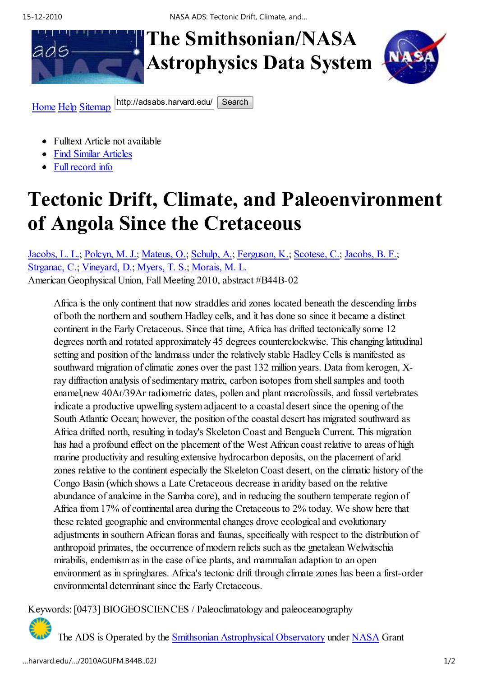15-12-2010 NASA ADS: Tectonic Drift, Climate, and…

## **The Smithsonian/ASA Astrophysics Data System**



Home Help Sitemap http://adsabs.harvard.edu/ Search

- Fulltext Article not available
- Find Similar Articles
- Full record info

## **Tectonic Drift, Climate, and Paleoenvironment of Angola Since the Cretaceous**

Jacobs, L. L.; Polcyn, M. J.; Mateus, O.; Schulp, A.; Ferguson, K.; Scotese, C.; Jacobs, B. F.; Strganac, C.; Vineyard, D.; Myers, T. S.; Morais, M. L. American Geophysical Union, Fall Meeting 2010, abstract #B44B-02

Africa is the only continent that now straddles arid zones located beneath the descending limbs of both the northern and southern Hadley cells, and it has done so since it became a distinct continent in the Early Cretaceous. Since that time, Africa has drifted tectonically some 12 degrees north and rotated approximately 45 degrees counterclockwise. This changing latitudinal setting and position of the landmass under the relatively stable Hadley Cells is manifested as southward migration of climatic zones over the past 132 million years. Data from kerogen, Xray diffraction analysis of sedimentary matrix, carbon isotopes from shell samples and tooth enamel,new 40Ar/39Ar radiometric dates, pollen and plant macrofossils, and fossil vertebrates indicate a productive upwelling system adjacent to a coastal desert since the opening of the South Atlantic Ocean; however, the position of the coastal desert has migrated southward as Africa drifted north, resulting in today's Skeleton Coast and Benguela Current. This migration has had a profound effect on the placement of the West African coast relative to areas of high marine productivity and resulting extensive hydrocarbon deposits, on the placement of arid zones relative to the continent especially the Skeleton Coast desert, on the climatic history of the Congo Basin (which shows a Late Cretaceous decrease in aridity based on the relative abundance of analcime in the Samba core), and in reducing the southern temperate region of Africa from 17% of continental area during the Cretaceous to 2% today. We show here that these related geographic and environmental changes drove ecological and evolutionary adjustments in southern African floras and faunas, specifically with respect to the distribution of anthropoid primates, the occurrence of modern relicts such as the gnetalean Welwitschia mirabilis, endemism as in the case of ice plants, and mammalian adaption to an open environment as in springhares. Africa's tectonic drift through climate zones has been a first-order environmental determinant since the Early Cretaceous.

Keywords: [0473] BIOGEOSCIENCES / Paleoclimatology and paleoceanography

The ADS is Operated by the Smithsonian Astrophysical Observatory under NASA Grant